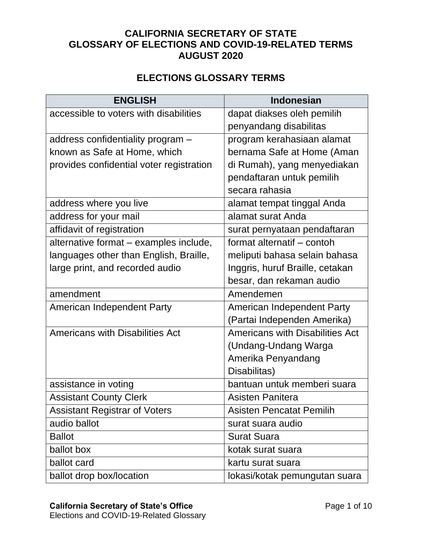## **CALIFORNIA SECRETARY OF STATE GLOSSARY OF ELECTIONS AND COVID-19-RELATED TERMS AUGUST 2020**

## **ELECTIONS GLOSSARY TERMS**

| <b>ENGLISH</b>                           | <b>Indonesian</b>                      |
|------------------------------------------|----------------------------------------|
| accessible to voters with disabilities   | dapat diakses oleh pemilih             |
|                                          | penyandang disabilitas                 |
| address confidentiality program -        | program kerahasiaan alamat             |
| known as Safe at Home, which             | bernama Safe at Home (Aman             |
| provides confidential voter registration | di Rumah), yang menyediakan            |
|                                          | pendaftaran untuk pemilih              |
|                                          | secara rahasia                         |
| address where you live                   | alamat tempat tinggal Anda             |
| address for your mail                    | alamat surat Anda                      |
| affidavit of registration                | surat pernyataan pendaftaran           |
| alternative format - examples include,   | format alternatif - contoh             |
| languages other than English, Braille,   | meliputi bahasa selain bahasa          |
| large print, and recorded audio          | Inggris, huruf Braille, cetakan        |
|                                          | besar, dan rekaman audio               |
| amendment                                | Amendemen                              |
| American Independent Party               | American Independent Party             |
|                                          | (Partai Independen Amerika)            |
| <b>Americans with Disabilities Act</b>   | <b>Americans with Disabilities Act</b> |
|                                          | (Undang-Undang Warga                   |
|                                          | Amerika Penyandang                     |
|                                          | Disabilitas)                           |
| assistance in voting                     | bantuan untuk memberi suara            |
| <b>Assistant County Clerk</b>            | <b>Asisten Panitera</b>                |
| <b>Assistant Registrar of Voters</b>     | <b>Asisten Pencatat Pemilih</b>        |
| audio ballot                             | surat suara audio                      |
| <b>Ballot</b>                            | <b>Surat Suara</b>                     |
| ballot box                               | kotak surat suara                      |
| ballot card                              | kartu surat suara                      |
| ballot drop box/location                 | lokasi/kotak pemungutan suara          |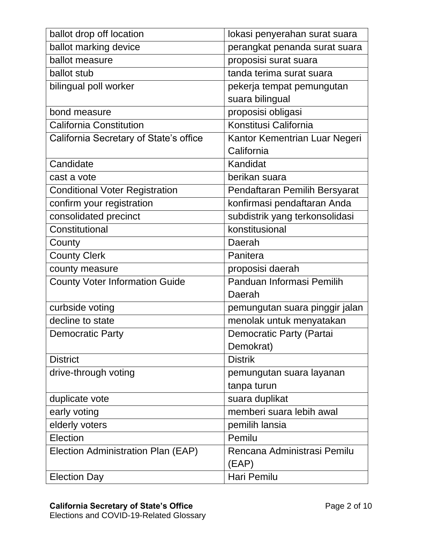| ballot drop off location               | lokasi penyerahan surat suara  |
|----------------------------------------|--------------------------------|
| ballot marking device                  | perangkat penanda surat suara  |
| ballot measure                         | proposisi surat suara          |
| ballot stub                            | tanda terima surat suara       |
| bilingual poll worker                  | pekerja tempat pemungutan      |
|                                        | suara bilingual                |
| bond measure                           | proposisi obligasi             |
| <b>California Constitution</b>         | Konstitusi California          |
| California Secretary of State's office | Kantor Kementrian Luar Negeri  |
|                                        | California                     |
| Candidate                              | Kandidat                       |
| cast a vote                            | berikan suara                  |
| <b>Conditional Voter Registration</b>  | Pendaftaran Pemilih Bersyarat  |
| confirm your registration              | konfirmasi pendaftaran Anda    |
| consolidated precinct                  | subdistrik yang terkonsolidasi |
| Constitutional                         | konstitusional                 |
| County                                 | Daerah                         |
| <b>County Clerk</b>                    | Panitera                       |
| county measure                         | proposisi daerah               |
| <b>County Voter Information Guide</b>  | Panduan Informasi Pemilih      |
|                                        | Daerah                         |
| curbside voting                        | pemungutan suara pinggir jalan |
| decline to state                       | menolak untuk menyatakan       |
| <b>Democratic Party</b>                | Democratic Party (Partai       |
|                                        | Demokrat)                      |
| <b>District</b>                        | <b>Distrik</b>                 |
| drive-through voting                   | pemungutan suara layanan       |
|                                        | tanpa turun                    |
| duplicate vote                         | suara duplikat                 |
| early voting                           | memberi suara lebih awal       |
| elderly voters                         | pemilih lansia                 |
| Election                               | Pemilu                         |
| Election Administration Plan (EAP)     | Rencana Administrasi Pemilu    |
|                                        | (EAP)                          |
| <b>Election Day</b>                    | Hari Pemilu                    |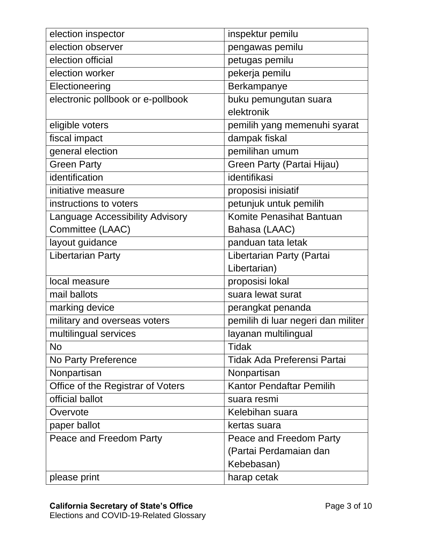| election inspector                     | inspektur pemilu                   |
|----------------------------------------|------------------------------------|
| election observer                      | pengawas pemilu                    |
| election official                      | petugas pemilu                     |
| election worker                        | pekerja pemilu                     |
| Electioneering                         | Berkampanye                        |
| electronic pollbook or e-pollbook      | buku pemungutan suara              |
|                                        | elektronik                         |
| eligible voters                        | pemilih yang memenuhi syarat       |
| fiscal impact                          | dampak fiskal                      |
| general election                       | pemilihan umum                     |
| <b>Green Party</b>                     | Green Party (Partai Hijau)         |
| identification                         | identifikasi                       |
| initiative measure                     | proposisi inisiatif                |
| instructions to voters                 | petunjuk untuk pemilih             |
| <b>Language Accessibility Advisory</b> | Komite Penasihat Bantuan           |
| Committee (LAAC)                       | Bahasa (LAAC)                      |
| layout guidance                        | panduan tata letak                 |
| <b>Libertarian Party</b>               | Libertarian Party (Partai          |
|                                        | Libertarian)                       |
| local measure                          | proposisi lokal                    |
| mail ballots                           | suara lewat surat                  |
| marking device                         | perangkat penanda                  |
| military and overseas voters           | pemilih di luar negeri dan militer |
| multilingual services                  | layanan multilingual               |
| No.                                    | Tidak                              |
| No Party Preference                    | Tidak Ada Preferensi Partai        |
| Nonpartisan                            | Nonpartisan                        |
| Office of the Registrar of Voters      | <b>Kantor Pendaftar Pemilih</b>    |
| official ballot                        | suara resmi                        |
| Overvote                               | Kelebihan suara                    |
| paper ballot                           | kertas suara                       |
| Peace and Freedom Party                | Peace and Freedom Party            |
|                                        | (Partai Perdamaian dan             |
|                                        | Kebebasan)                         |
| please print                           | harap cetak                        |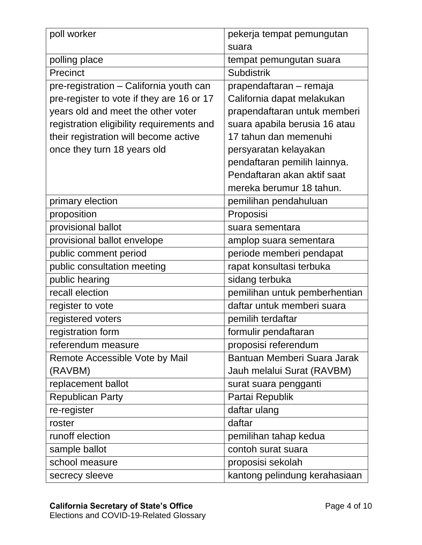| poll worker                               | pekerja tempat pemungutan     |
|-------------------------------------------|-------------------------------|
|                                           | suara                         |
| polling place                             | tempat pemungutan suara       |
| Precinct                                  | <b>Subdistrik</b>             |
| pre-registration - California youth can   | prapendaftaran – remaja       |
| pre-register to vote if they are 16 or 17 | California dapat melakukan    |
| years old and meet the other voter        | prapendaftaran untuk memberi  |
| registration eligibility requirements and | suara apabila berusia 16 atau |
| their registration will become active     | 17 tahun dan memenuhi         |
| once they turn 18 years old               | persyaratan kelayakan         |
|                                           | pendaftaran pemilih lainnya.  |
|                                           | Pendaftaran akan aktif saat   |
|                                           | mereka berumur 18 tahun.      |
| primary election                          | pemilihan pendahuluan         |
| proposition                               | Proposisi                     |
| provisional ballot                        | suara sementara               |
| provisional ballot envelope               | amplop suara sementara        |
| public comment period                     | periode memberi pendapat      |
| public consultation meeting               | rapat konsultasi terbuka      |
| public hearing                            | sidang terbuka                |
| recall election                           | pemilihan untuk pemberhentian |
| register to vote                          | daftar untuk memberi suara    |
| registered voters                         | pemilih terdaftar             |
| registration form                         | formulir pendaftaran          |
| referendum measure                        | proposisi referendum          |
| Remote Accessible Vote by Mail            | Bantuan Memberi Suara Jarak   |
| (RAVBM)                                   | Jauh melalui Surat (RAVBM)    |
| replacement ballot                        | surat suara pengganti         |
| <b>Republican Party</b>                   | Partai Republik               |
| re-register                               | daftar ulang                  |
| roster                                    | daftar                        |
| runoff election                           | pemilihan tahap kedua         |
| sample ballot                             | contoh surat suara            |
| school measure                            | proposisi sekolah             |
| secrecy sleeve                            | kantong pelindung kerahasiaan |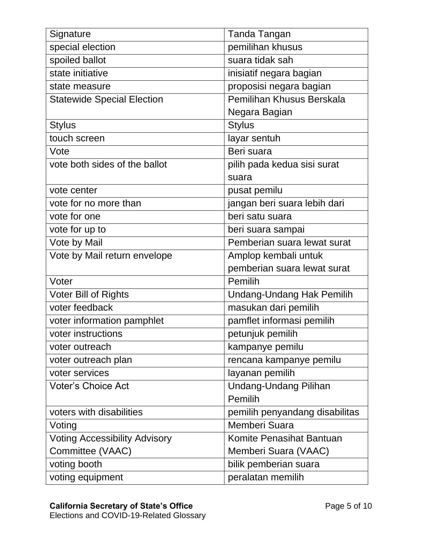| Signature                            | <b>Tanda Tangan</b>              |
|--------------------------------------|----------------------------------|
| special election                     | pemilihan khusus                 |
| spoiled ballot                       | suara tidak sah                  |
| state initiative                     | inisiatif negara bagian          |
| state measure                        | proposisi negara bagian          |
| <b>Statewide Special Election</b>    | Pemilihan Khusus Berskala        |
|                                      | Negara Bagian                    |
| <b>Stylus</b>                        | <b>Stylus</b>                    |
| touch screen                         | layar sentuh                     |
| Vote                                 | Beri suara                       |
| vote both sides of the ballot        | pilih pada kedua sisi surat      |
|                                      | suara                            |
| vote center                          | pusat pemilu                     |
| vote for no more than                | jangan beri suara lebih dari     |
| vote for one                         | beri satu suara                  |
| vote for up to                       | beri suara sampai                |
| Vote by Mail                         | Pemberian suara lewat surat      |
| Vote by Mail return envelope         | Amplop kembali untuk             |
|                                      | pemberian suara lewat surat      |
| Voter                                | Pemilih                          |
| <b>Voter Bill of Rights</b>          | <b>Undang-Undang Hak Pemilih</b> |
| voter feedback                       | masukan dari pemilih             |
| voter information pamphlet           | pamflet informasi pemilih        |
| voter instructions                   | petunjuk pemilih                 |
| voter outreach                       | kampanye pemilu                  |
| voter outreach plan                  | rencana kampanye pemilu          |
| voter services                       | layanan pemilih                  |
| <b>Voter's Choice Act</b>            | <b>Undang-Undang Pilihan</b>     |
|                                      | Pemilih                          |
| voters with disabilities             | pemilih penyandang disabilitas   |
| Voting                               | Memberi Suara                    |
| <b>Voting Accessibility Advisory</b> | Komite Penasihat Bantuan         |
| Committee (VAAC)                     | Memberi Suara (VAAC)             |
| voting booth                         | bilik pemberian suara            |
| voting equipment                     | peralatan memilih                |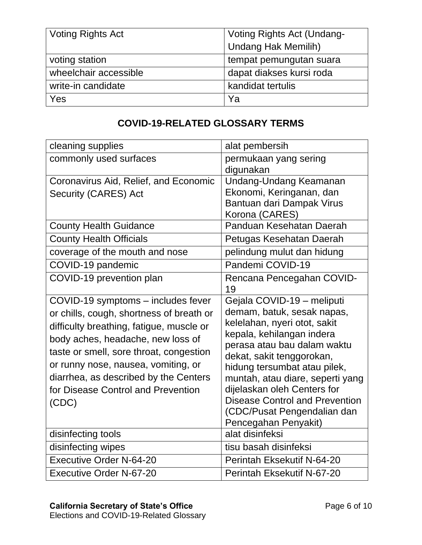| <b>Voting Rights Act</b> | Voting Rights Act (Undang- |
|--------------------------|----------------------------|
|                          | <b>Undang Hak Memilih)</b> |
| voting station           | tempat pemungutan suara    |
| wheelchair accessible    | dapat diakses kursi roda   |
| write-in candidate       | kandidat tertulis          |
| Yes                      | Ya                         |

## **COVID-19-RELATED GLOSSARY TERMS**

| cleaning supplies                                                                                                                                                                                                                                                                                                                         | alat pembersih                                                                                                                                                                                                                                                                                                                                                                       |
|-------------------------------------------------------------------------------------------------------------------------------------------------------------------------------------------------------------------------------------------------------------------------------------------------------------------------------------------|--------------------------------------------------------------------------------------------------------------------------------------------------------------------------------------------------------------------------------------------------------------------------------------------------------------------------------------------------------------------------------------|
| commonly used surfaces                                                                                                                                                                                                                                                                                                                    | permukaan yang sering<br>digunakan                                                                                                                                                                                                                                                                                                                                                   |
| Coronavirus Aid, Relief, and Economic<br>Security (CARES) Act                                                                                                                                                                                                                                                                             | Undang-Undang Keamanan<br>Ekonomi, Keringanan, dan<br>Bantuan dari Dampak Virus<br>Korona (CARES)                                                                                                                                                                                                                                                                                    |
| <b>County Health Guidance</b>                                                                                                                                                                                                                                                                                                             | Panduan Kesehatan Daerah                                                                                                                                                                                                                                                                                                                                                             |
| <b>County Health Officials</b>                                                                                                                                                                                                                                                                                                            | Petugas Kesehatan Daerah                                                                                                                                                                                                                                                                                                                                                             |
| coverage of the mouth and nose                                                                                                                                                                                                                                                                                                            | pelindung mulut dan hidung                                                                                                                                                                                                                                                                                                                                                           |
| COVID-19 pandemic                                                                                                                                                                                                                                                                                                                         | Pandemi COVID-19                                                                                                                                                                                                                                                                                                                                                                     |
| COVID-19 prevention plan                                                                                                                                                                                                                                                                                                                  | Rencana Pencegahan COVID-<br>19                                                                                                                                                                                                                                                                                                                                                      |
| COVID-19 symptoms - includes fever<br>or chills, cough, shortness of breath or<br>difficulty breathing, fatigue, muscle or<br>body aches, headache, new loss of<br>taste or smell, sore throat, congestion<br>or runny nose, nausea, vomiting, or<br>diarrhea, as described by the Centers<br>for Disease Control and Prevention<br>(CDC) | Gejala COVID-19 - meliputi<br>demam, batuk, sesak napas,<br>kelelahan, nyeri otot, sakit<br>kepala, kehilangan indera<br>perasa atau bau dalam waktu<br>dekat, sakit tenggorokan,<br>hidung tersumbat atau pilek,<br>muntah, atau diare, seperti yang<br>dijelaskan oleh Centers for<br><b>Disease Control and Prevention</b><br>(CDC/Pusat Pengendalian dan<br>Pencegahan Penyakit) |
| disinfecting tools                                                                                                                                                                                                                                                                                                                        | alat disinfeksi                                                                                                                                                                                                                                                                                                                                                                      |
| disinfecting wipes                                                                                                                                                                                                                                                                                                                        | tisu basah disinfeksi                                                                                                                                                                                                                                                                                                                                                                |
| <b>Executive Order N-64-20</b>                                                                                                                                                                                                                                                                                                            | Perintah Eksekutif N-64-20                                                                                                                                                                                                                                                                                                                                                           |
| <b>Executive Order N-67-20</b>                                                                                                                                                                                                                                                                                                            | Perintah Eksekutif N-67-20                                                                                                                                                                                                                                                                                                                                                           |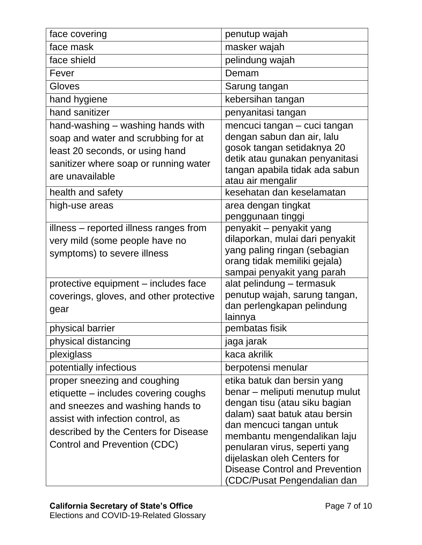| face covering                           | penutup wajah                                                    |
|-----------------------------------------|------------------------------------------------------------------|
| face mask                               | masker wajah                                                     |
| face shield                             | pelindung wajah                                                  |
| Fever                                   | Demam                                                            |
| Gloves                                  | Sarung tangan                                                    |
| hand hygiene                            | kebersihan tangan                                                |
| hand sanitizer                          | penyanitasi tangan                                               |
| hand-washing – washing hands with       | mencuci tangan - cuci tangan                                     |
| soap and water and scrubbing for at     | dengan sabun dan air, lalu                                       |
| least 20 seconds, or using hand         | gosok tangan setidaknya 20                                       |
| sanitizer where soap or running water   | detik atau gunakan penyanitasi<br>tangan apabila tidak ada sabun |
| are unavailable                         | atau air mengalir                                                |
| health and safety                       | kesehatan dan keselamatan                                        |
| high-use areas                          | area dengan tingkat                                              |
|                                         | penggunaan tinggi                                                |
| illness - reported illness ranges from  | penyakit – penyakit yang                                         |
| very mild (some people have no          | dilaporkan, mulai dari penyakit                                  |
| symptoms) to severe illness             | yang paling ringan (sebagian<br>orang tidak memiliki gejala)     |
|                                         | sampai penyakit yang parah                                       |
| protective equipment - includes face    | alat pelindung - termasuk                                        |
| coverings, gloves, and other protective | penutup wajah, sarung tangan,                                    |
| gear                                    | dan perlengkapan pelindung                                       |
|                                         | lainnya                                                          |
| physical barrier                        | pembatas fisik                                                   |
| physical distancing                     | jaga jarak                                                       |
| plexiglass                              | kaca akrilik                                                     |
| potentially infectious                  | berpotensi menular                                               |
| proper sneezing and coughing            | etika batuk dan bersin yang                                      |
| etiquette – includes covering coughs    | benar – meliputi menutup mulut                                   |
| and sneezes and washing hands to        | dengan tisu (atau siku bagian                                    |
| assist with infection control, as       | dalam) saat batuk atau bersin<br>dan mencuci tangan untuk        |
| described by the Centers for Disease    | membantu mengendalikan laju                                      |
| Control and Prevention (CDC)            | penularan virus, seperti yang                                    |
|                                         | dijelaskan oleh Centers for                                      |
|                                         | <b>Disease Control and Prevention</b>                            |
|                                         | (CDC/Pusat Pengendalian dan                                      |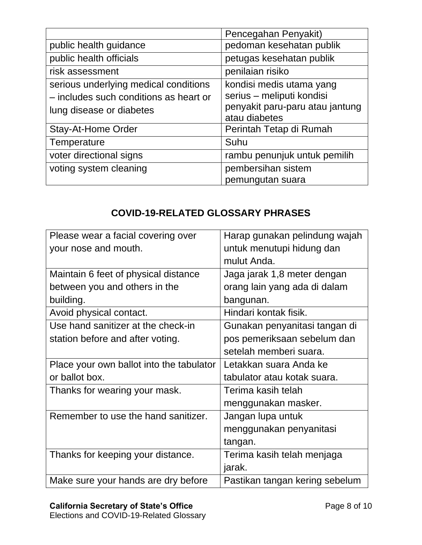|                                                                                                             | Pencegahan Penyakit)                                                                                      |
|-------------------------------------------------------------------------------------------------------------|-----------------------------------------------------------------------------------------------------------|
| public health guidance                                                                                      | pedoman kesehatan publik                                                                                  |
| public health officials                                                                                     | petugas kesehatan publik                                                                                  |
| risk assessment                                                                                             | penilaian risiko                                                                                          |
| serious underlying medical conditions<br>- includes such conditions as heart or<br>lung disease or diabetes | kondisi medis utama yang<br>serius - meliputi kondisi<br>penyakit paru-paru atau jantung<br>atau diabetes |
| <b>Stay-At-Home Order</b>                                                                                   | Perintah Tetap di Rumah                                                                                   |
| Temperature                                                                                                 | Suhu                                                                                                      |
| voter directional signs                                                                                     | rambu penunjuk untuk pemilih                                                                              |
| voting system cleaning                                                                                      | pembersihan sistem<br>pemungutan suara                                                                    |

## **COVID-19-RELATED GLOSSARY PHRASES**

| Please wear a facial covering over       | Harap gunakan pelindung wajah  |
|------------------------------------------|--------------------------------|
| your nose and mouth.                     | untuk menutupi hidung dan      |
|                                          | mulut Anda.                    |
| Maintain 6 feet of physical distance     | Jaga jarak 1,8 meter dengan    |
| between you and others in the            | orang lain yang ada di dalam   |
| building.                                | bangunan.                      |
| Avoid physical contact.                  | Hindari kontak fisik.          |
| Use hand sanitizer at the check-in       | Gunakan penyanitasi tangan di  |
| station before and after voting.         | pos pemeriksaan sebelum dan    |
|                                          | setelah memberi suara.         |
| Place your own ballot into the tabulator | Letakkan suara Anda ke         |
| or ballot box.                           | tabulator atau kotak suara.    |
| Thanks for wearing your mask.            | Terima kasih telah             |
|                                          | menggunakan masker.            |
| Remember to use the hand sanitizer.      | Jangan lupa untuk              |
|                                          | menggunakan penyanitasi        |
|                                          | tangan.                        |
| Thanks for keeping your distance.        | Terima kasih telah menjaga     |
|                                          | jarak.                         |
| Make sure your hands are dry before      | Pastikan tangan kering sebelum |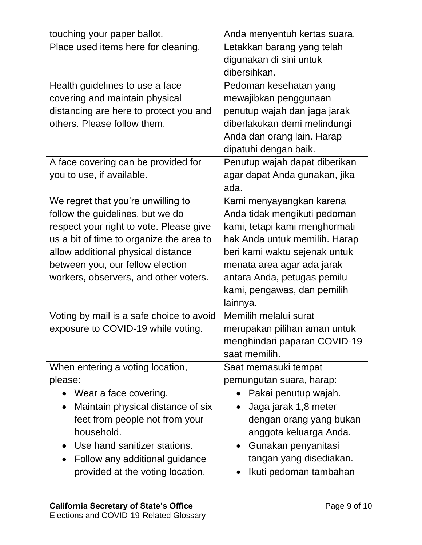| touching your paper ballot.              | Anda menyentuh kertas suara.  |
|------------------------------------------|-------------------------------|
| Place used items here for cleaning.      | Letakkan barang yang telah    |
|                                          | digunakan di sini untuk       |
|                                          | dibersihkan.                  |
| Health guidelines to use a face          | Pedoman kesehatan yang        |
| covering and maintain physical           | mewajibkan penggunaan         |
| distancing are here to protect you and   | penutup wajah dan jaga jarak  |
| others. Please follow them.              | diberlakukan demi melindungi  |
|                                          | Anda dan orang lain. Harap    |
|                                          | dipatuhi dengan baik.         |
| A face covering can be provided for      | Penutup wajah dapat diberikan |
| you to use, if available.                | agar dapat Anda gunakan, jika |
|                                          | ada.                          |
| We regret that you're unwilling to       | Kami menyayangkan karena      |
| follow the guidelines, but we do         | Anda tidak mengikuti pedoman  |
| respect your right to vote. Please give  | kami, tetapi kami menghormati |
| us a bit of time to organize the area to | hak Anda untuk memilih. Harap |
| allow additional physical distance       | beri kami waktu sejenak untuk |
| between you, our fellow election         | menata area agar ada jarak    |
| workers, observers, and other voters.    | antara Anda, petugas pemilu   |
|                                          | kami, pengawas, dan pemilih   |
|                                          | lainnya.                      |
| Voting by mail is a safe choice to avoid | Memilih melalui surat         |
| exposure to COVID-19 while voting.       | merupakan pilihan aman untuk  |
|                                          | menghindari paparan COVID-19  |
|                                          | saat memilih.                 |
| When entering a voting location,         | Saat memasuki tempat          |
| please:                                  | pemungutan suara, harap:      |
| Wear a face covering.                    | Pakai penutup wajah.          |
| Maintain physical distance of six        | Jaga jarak 1,8 meter          |
| feet from people not from your           | dengan orang yang bukan       |
| household.                               | anggota keluarga Anda.        |
| Use hand sanitizer stations.             | Gunakan penyanitasi           |
| Follow any additional guidance           | tangan yang disediakan.       |
| provided at the voting location.         | Ikuti pedoman tambahan        |